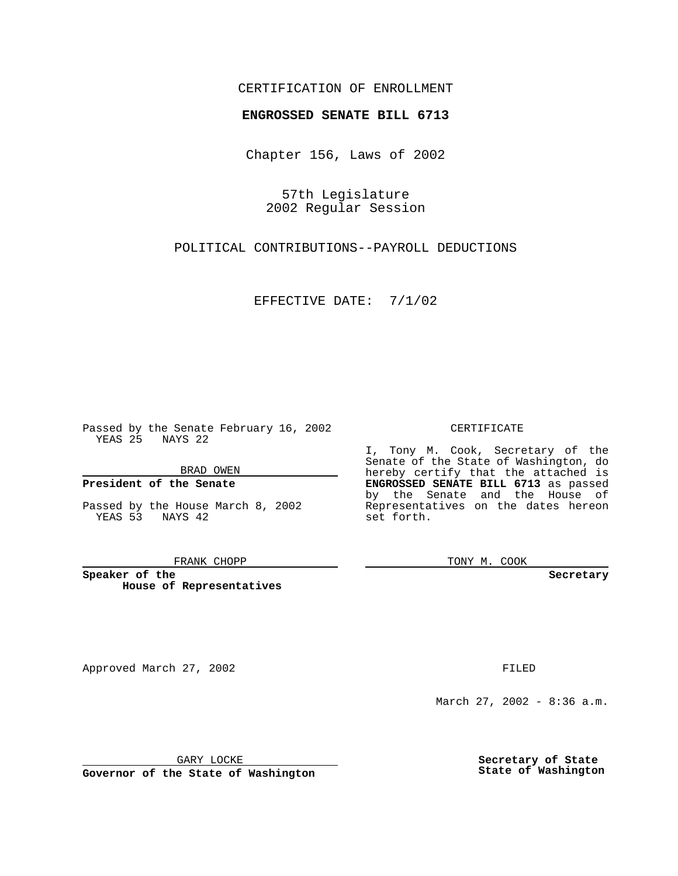## CERTIFICATION OF ENROLLMENT

# **ENGROSSED SENATE BILL 6713**

Chapter 156, Laws of 2002

57th Legislature 2002 Regular Session

POLITICAL CONTRIBUTIONS--PAYROLL DEDUCTIONS

EFFECTIVE DATE: 7/1/02

Passed by the Senate February 16, 2002 YEAS 25 NAYS 22

BRAD OWEN

### **President of the Senate**

Passed by the House March 8, 2002 YEAS 53 NAYS 42

#### FRANK CHOPP

**Speaker of the House of Representatives**

Approved March 27, 2002 **FILED** 

#### CERTIFICATE

I, Tony M. Cook, Secretary of the Senate of the State of Washington, do hereby certify that the attached is **ENGROSSED SENATE BILL 6713** as passed by the Senate and the House of Representatives on the dates hereon set forth.

TONY M. COOK

**Secretary**

March 27, 2002 - 8:36 a.m.

GARY LOCKE

**Governor of the State of Washington**

**Secretary of State State of Washington**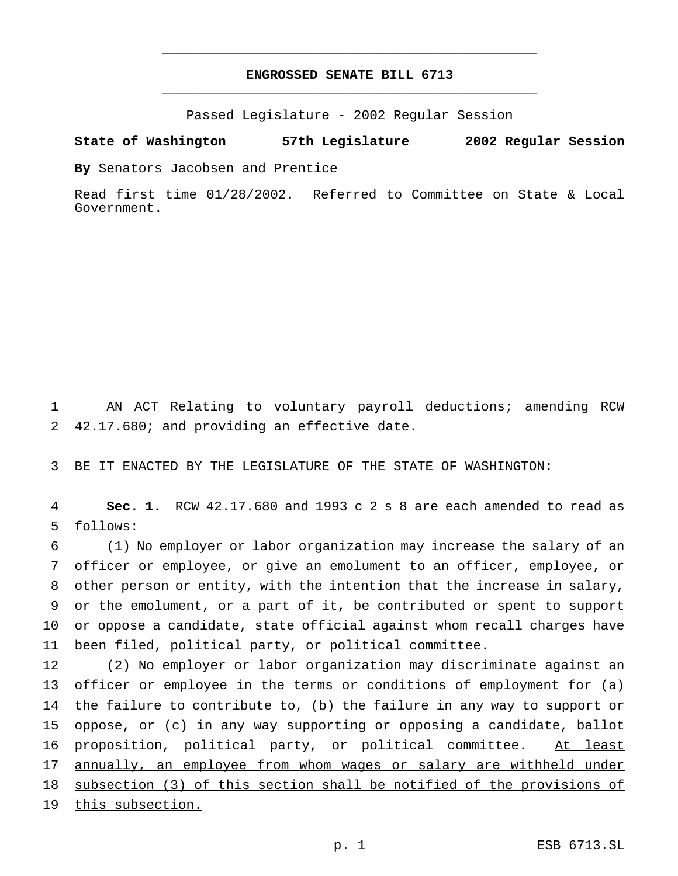# **ENGROSSED SENATE BILL 6713** \_\_\_\_\_\_\_\_\_\_\_\_\_\_\_\_\_\_\_\_\_\_\_\_\_\_\_\_\_\_\_\_\_\_\_\_\_\_\_\_\_\_\_\_\_\_\_

\_\_\_\_\_\_\_\_\_\_\_\_\_\_\_\_\_\_\_\_\_\_\_\_\_\_\_\_\_\_\_\_\_\_\_\_\_\_\_\_\_\_\_\_\_\_\_

Passed Legislature - 2002 Regular Session

**State of Washington 57th Legislature 2002 Regular Session**

**By** Senators Jacobsen and Prentice

Read first time 01/28/2002. Referred to Committee on State & Local Government.

1 AN ACT Relating to voluntary payroll deductions; amending RCW 2 42.17.680; and providing an effective date.

3 BE IT ENACTED BY THE LEGISLATURE OF THE STATE OF WASHINGTON:

4 **Sec. 1.** RCW 42.17.680 and 1993 c 2 s 8 are each amended to read as 5 follows:

 (1) No employer or labor organization may increase the salary of an officer or employee, or give an emolument to an officer, employee, or other person or entity, with the intention that the increase in salary, or the emolument, or a part of it, be contributed or spent to support or oppose a candidate, state official against whom recall charges have been filed, political party, or political committee.

 (2) No employer or labor organization may discriminate against an officer or employee in the terms or conditions of employment for (a) the failure to contribute to, (b) the failure in any way to support or oppose, or (c) in any way supporting or opposing a candidate, ballot 16 proposition, political party, or political committee. At least 17 annually, an employee from whom wages or salary are withheld under subsection (3) of this section shall be notified of the provisions of 19 this subsection.